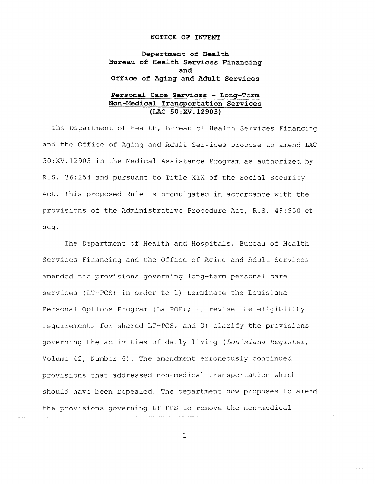### **NOTICE OF INTENT**

**Department of Health Bureau of Health Services Financing and Office of Aging and Adult Services** 

## **Personal Care Services - Long-Term Non-Medical Transportation Services (LAC SO:XV.12903)**

The Department of Health, Bureau of Health Services Financing and the Office of Aging and Adult Services propose to amend LAC 50:XV.12903 in the Medical Assistance Program as authorized by R.S. 36:254 and pursuant to Title XIX of the Social Security Act. This proposed Rule is promulgated in accordance with the provisions of the Administrative Procedure Act, R.S. 49:950 et seq.

The Department of Health and Hospitals, Bureau of Health Services Financing and the Office of Aging and Adult Services amended the provisions governing long-term personal care services (LT-PCS) in order to 1) terminate the Louisiana Personal Options Program (La POP); 2) revise the eligibility requirements for shared LT-PCS; and 3) clarify the provisions governing the activities of daily living *(Louisiana Register,*  Volume 42, Number 6). The amendment erroneously continued provisions that addressed non-medical transportation which should have been repealed. The department now proposes to amend the provisions governing LT-PCS to remove the non-medical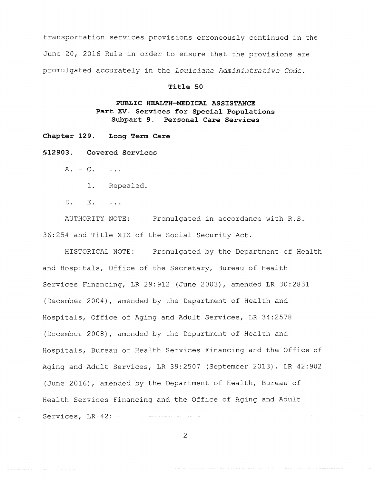transportation services provisions erroneously continued in the June 20, 2016 Rule in order to ensure that the provisions are promulgated accurately in the *Louisiana Administrative Code.* 

## **Title 50**

# **PUBLIC HEALTH-MEDICAL ASSISTANCE Part XV. Services for Special Populations Subpart 9. Personal Care Services**

**Chapter 129. Long Term Care** 

**§12903. Covered Services** 

 $A. - C.$  ...

1. Repealed.

 $D. - E.$  ...

AUTHORITY NOTE: Promulgated in accordance with R.S. 36:254 and Title XIX of the Social Security Act.

HISTORICAL NOTE: Promulgated by the Department of Health and Hospitals, Office of the Secretary, Bureau of Health Services Financing, LR 29:912 (June 2003), amended LR 30:2831 (December 2004), amended by the Department of Health and Hospitals, Office of Aging and Adult Services, LR 34:2578 (December 2008), amended by the Department of Health and Hospitals, Bureau of Health Services Financing and the Office of Aging and Adult Services, LR 39:2507 (September 2013), LR 42:902 (June 2016), amended by the Department of Health, Bureau of Health Services Financing and the Office of Aging and Adult Services, LR-42: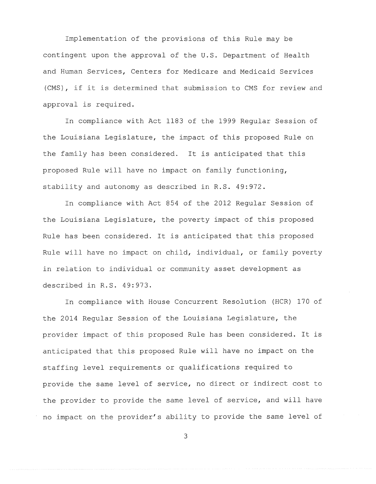Implementation of the provisions of this Rule may be contingent upon the approval of the U.S. Department of Health and Human Services, Centers for Medicare and Medicaid Services (CMS), if it is determined that submission to CMS for review and approval is required.

In compliance with Act 1183 of the 1999 Regular Session of the Louisiana Legislature, the impact of this proposed Rule on the family has been considered. It is anticipated that this proposed Rule will have no impact on family functioning, stability and autonomy as described in R.S. 49:972.

In compliance with Act 854 of the 2012 Regular Session of the Louisiana Legislature, the poverty impact of this proposed Rule has been considered. It is anticipated that this proposed Rule will have no impact on child, individual, or family poverty in relation to individual or community asset development as described in R.S. 49:973.

In compliance with House Concurrent Resolution (HCR) 170 of the 2014 Regular Session of the Louisiana Legislature, the provider impact of this proposed Rule has been considered. It is anticipated that this proposed Rule will have no impact on the staffing level requirements or qualifications required to provide the same level of service, no direct or indirect cost to the provider to provide the same level of service, and will have no impact on the provider's ability to provide the same level of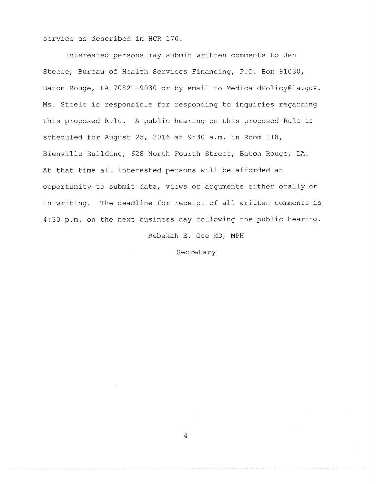service as described in HCR 170.

Interested persons may submit written comments to Jen Steele, Bureau of Health Services Financing, P.O. Box 91030, Baton Rouge, LA 70821-9030 or by email to MedicaidPolicy@la.gov. Ms. Steele is responsible for responding to inquiries regarding this proposed Rule. A public hearing on this proposed Rule is scheduled for August 25, 2016 at 9:30 a.m. in Room 118, Bienville Building, 628 North Fourth Street, Baton Rouge, LA. At that time all interested persons will be afforded an opportunity to submit data, views or arguments either orally or in writing. The deadline for receipt of all written comments is 4:30 p.m. on the next business day following the public hearing.

Rebekah E. Gee MD, MPH

Secretary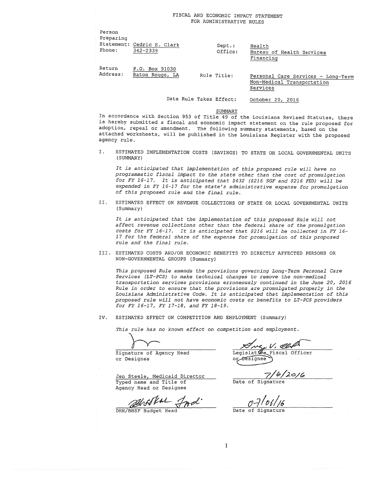### FISCAL AND ECONOMIC IMPACT STATEMENT FOR ADMINISTRATIVE RULES

| Person<br>Preparing<br>Phone: | Statement: Cedric E. Clark        | $Dept.$ :   | Health                                                                       |
|-------------------------------|-----------------------------------|-------------|------------------------------------------------------------------------------|
|                               | $342 - 2339$                      | Office:     | Bureau of Health Services<br>Financing                                       |
| Return<br>Address:            | P.O. Box 91030<br>Baton Rouge, LA | Rule Title: | Personal Care Services - Long-Term<br>Non-Medical Transportation<br>Services |

Date Rule Takes Effect: October 20, 2016

SUMMARY

In accordance with Section 953 of Title 49 of the Louisiana Revised Statutes, there is hereby submitted a fiscal and economic impact statement on the rule proposed for adoption, repeal or amendment. The following summary statements, based on the attached worksheets, will be published in the Louisiana Register with the proposed agency rule.

I. ESTIMATED IMPLEMENTATION COSTS (SAVINGS) TO STATE OR LOCAL GOVERNMENTAL UNITS (SUMMARY)

*It is anticipated that implementation of this proposed rule will have no programmatic fiscal impact to the state other than the cost of promulgation for FY 16-17. It is anticipated that \$432 (\$216 SGF and \$216 FED) will be expended in FY 16-17 for the state's administrative expense* for *promulgation of this proposed rule and the final rule.* 

II. ESTIMATED EFFECT ON REVENUE COLLECTIONS OF STATE OR LOCAL GOVERNMENTAL UNITS (Summary)

*It is anticipated that the implementation of this proposed Rule will not affect revenue collections other than the federal share of the promulgation costs for FY 16-17. It is anticipated that \$216 will be collected in FY 16- 17 for the federal share of the expense for promulgation of this proposed rule and the final rule.* 

III. ESTIMATED COSTS AND/OR ECONOMIC BENEFITS TO DIRECTLY AFFECTED PERSONS OR NON-GOVERNMENTAL GROUPS (Summary)

*This proposed Rule amends the provisions governing Long-Term Personal Care Services (LT-PCS) to make technical changes to remove the non-medical transportation services provisions erroneously continued in the June 20, 2016 Rule in* order *to ensure that the provisions are promulgated properly in the Louisiana Administrative Code. It is anticipated that implementation of this proposed rule* ~fill *not have economic costs or benefits to LT-PCS providers for FY 16-17, FY 17-18, and FY 18-19.* 

IV. ESTIMATED EFFECT ON COMPETITION AND EMPLOYMENT (Summary)

*This rule has no known effect on competition and employment.* 

 $\rangle$ 

Signature of Agency Head or Designee

we, V. Class Legislatice Fiscal Officer

 $\frac{7}{6}/\frac{6}{20/6}$ 

Jen Steele, Medicaid Director Typed name and Title of Agency Head or Designee

DHH/BHSF Budget Head

or Designee

Date of Signature

 $\mathbf 1$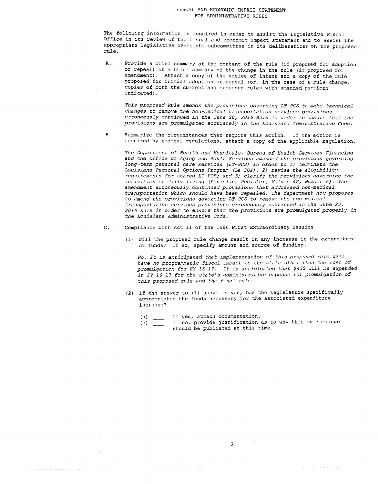### ~~~CAL AND ECONOMIC IMPACT STATEMENT FOR ADMINISTRATIVE RULES

The following information is required in order to assist the Legislative Fiscal Office in its review of the fiscal and economic impact statement and to assist the appropriate legislative oversight subcommittee in its deliberations on the proposed rule.

A. Provide a brief summary of the content of the rule (if proposed for adoption or repeal) or a brief summary of the change in the rule (if proposed for amendment) . Attach a copy of the notice of intent and a copy of the rule proposed for initial adoption or repeal (or, in the case of a rule change, copies of both the current and proposed rules with amended portions indicated) .

*This proposed Rule amends the provisions governing LT-PCS to make technical changes to remove the non-medical transportation services provisions erroneously continued in the June 20, 2016 Rule in order to ensure that the provisions are promulgated accurately in the Louisiana Administrative Code.* 

B. Summarize the circumstances that require this action. If the action is required by federal regulations, attach a copy of the applicable regulation.

*The Department of Health and Hospitals, Bureau of Health Services Financing and the Office of Aging and Adult Services amended the provisions governing long-term personal care services (LT-PCS) in order to 1) terminate the Louisiana Personal Options Program (La POP); 2) revise the eligibility requirements for shared LT-PCS; and 3) clarify the provisions governing the activities of daily living (Louisiana Register, Volume 42, Number 6). The amendment erroneously continued provisions that addressed non-medical transportation which should have been repealed. The department now proposes to amend the provisions governing LT-PCS to remove the non-medical transportation services provisions erroneously continued in the June 20, 2016 Rule in order to ensure that the provisions are promulgated properly in the Louisiana Administrative Code.* 

C. Compliance with Act 11 of the 1986 First Extraordinary Session

(1) Will the proposed rule change result in any increase in the expenditure of funds? If so, specify amount and source of funding.

*No. It is anticipated that implementation of this proposed rule will have no programmatic fiscal impact to the state other than the cost of promulgation for FY 16-17. It is anticipated that \$432 will be expended in FY 16-17 for the state's administrative expense for promulgation of this proposed rule and the final rule.* 

- (2) If the answer to (1) above is yes, has the Legislature specifically appropriated the funds necessary for the associated expenditure increase?
	- (a) If yes, attach documentation.
	- (b) If no, provide justification as to why this rule change should be published at this time.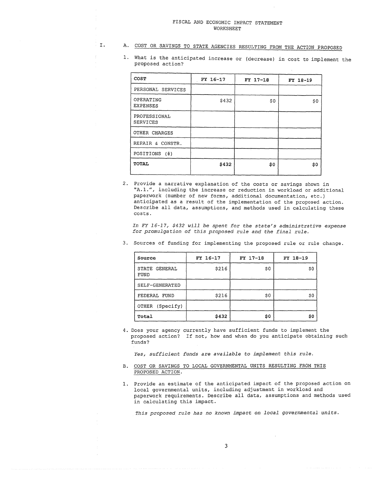# I. A. COST OR SAVINGS TO STATE AGENCIES RESULTING FROM THE ACTION PROPOSED

1. What is the anticipated increase or (decrease) in cost to implement the proposed action?

| FY 16-17 | FY 17-18 | FY 18-19 |
|----------|----------|----------|
|          |          |          |
| \$432    | \$0      | \$0      |
|          |          |          |
|          |          |          |
|          |          |          |
|          |          |          |
| \$432    | \$0      | S0       |
|          |          |          |

2. Provide a narrative explanation of the costs or savings shown in "A.l.", including the increase or reduction in workload or additional paperwork (number of new forms, additional documentation, etc.) anticipated as a result of the implementation of the proposed action. Describe all data, assumptions, and methods used in calculating these costs.

*In FY 16-17, \$432 will be spent* for *the state's administrative expense for promulgation of this proposed rule and the final rule.* 

| Source                | FY 16-17 | FY 17-18 | FY 18-19 |
|-----------------------|----------|----------|----------|
| STATE GENERAL<br>FUND | \$216    | \$0      | \$0      |
| SELF-GENERATED        |          |          |          |
| FEDERAL FUND          | \$216    | \$0      | \$0      |
| OTHER (Specify)       |          |          |          |
| Total                 | \$432    | \$0      | \$0      |

3. Sources of funding for implementing the proposed rule or rule change.

4. Does your agency currently have sufficient funds to implement the proposed action? If not, how and when do you anticipate obtaining such funds?

*Yes, sufficient funds are available to implement this* rule.

- B. COST OR SAVINGS TO LOCAL GOVERNMENTAL UNITS RESULTING FROM THIS PROPOSED ACTION.
- 1. Provide an estimate of the anticipated impact of the proposed action on local governmental units, including adjustment in workload and paperwork requirements. Describe all data, assumptions and methods used in calculating this impact.

*This proposed rule has no known impact on local governmental units.*